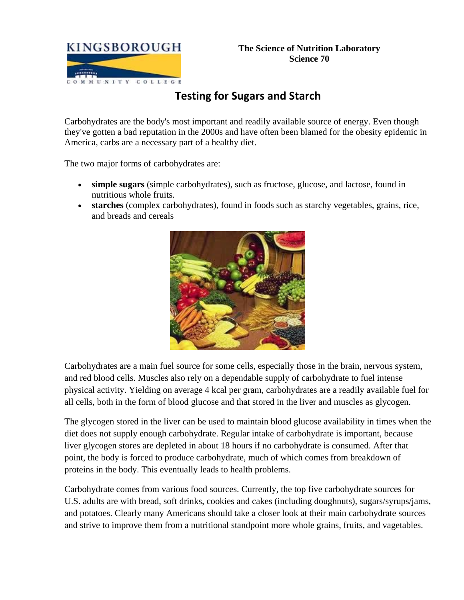

# **Testing for Sugars and Starch**

Carbohydrates are the body's most important and readily available source of energy. Even though they've gotten a bad reputation in the 2000s and have often been blamed for the obesity epidemic in America, carbs are a necessary part of a healthy diet.

The two major forms of carbohydrates are:

- **simple sugars** (simple carbohydrates), such as fructose, glucose, and lactose, found in nutritious whole fruits.
- **starches** (complex carbohydrates), found in foods such as starchy vegetables, grains, rice, and breads and cereals



Carbohydrates are a main fuel source for some cells, especially those in the brain, nervous system, and red blood cells. Muscles also rely on a dependable supply of carbohydrate to fuel intense physical activity. Yielding on average 4 kcal per gram, carbohydrates are a readily available fuel for all cells, both in the form of blood glucose and that stored in the liver and muscles as glycogen.

The glycogen stored in the liver can be used to maintain blood glucose availability in times when the diet does not supply enough carbohydrate. Regular intake of carbohydrate is important, because liver glycogen stores are depleted in about 18 hours if no carbohydrate is consumed. After that point, the body is forced to produce carbohydrate, much of which comes from breakdown of proteins in the body. This eventually leads to health problems.

Carbohydrate comes from various food sources. Currently, the top five carbohydrate sources for U.S. adults are with bread, soft drinks, cookies and cakes (including doughnuts), sugars/syrups/jams, and potatoes. Clearly many Americans should take a closer look at their main carbohydrate sources and strive to improve them from a nutritional standpoint more whole grains, fruits, and vagetables.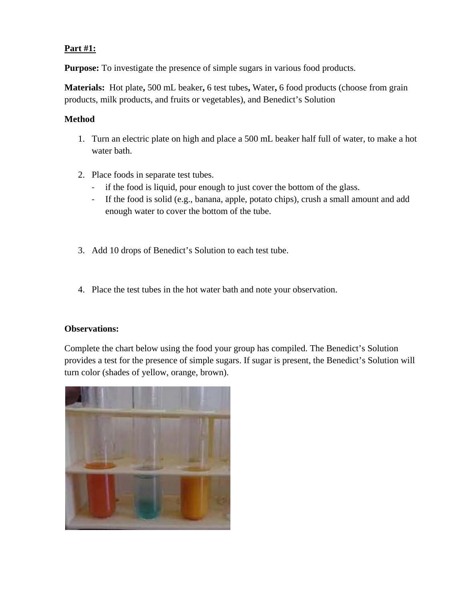## **Part #1:**

**Purpose:** To investigate the presence of simple sugars in various food products.

**Materials:** Hot plate**,** 500 mL beaker**,** 6 test tubes**,** Water**,** 6 food products (choose from grain products, milk products, and fruits or vegetables), and Benedict's Solution

## **Method**

- 1. Turn an electric plate on high and place a 500 mL beaker half full of water, to make a hot water bath.
- 2. Place foods in separate test tubes.
	- if the food is liquid, pour enough to just cover the bottom of the glass.
	- ‐ If the food is solid (e.g., banana, apple, potato chips), crush a small amount and add enough water to cover the bottom of the tube.
- 3. Add 10 drops of Benedict's Solution to each test tube.
- 4. Place the test tubes in the hot water bath and note your observation.

### **Observations:**

Complete the chart below using the food your group has compiled. The Benedict's Solution provides a test for the presence of simple sugars. If sugar is present, the Benedict's Solution will turn color (shades of yellow, orange, brown).

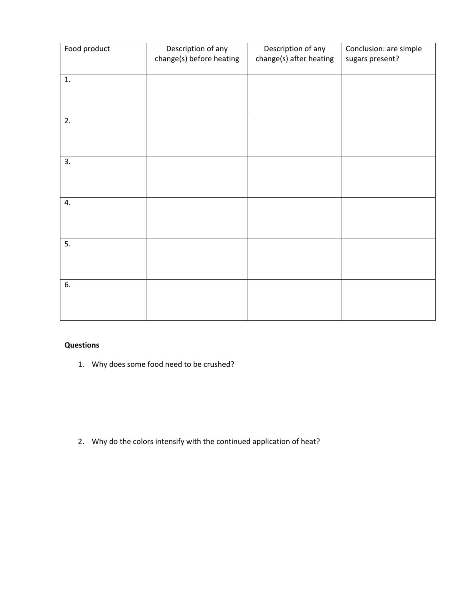| Food product | Description of any       | Description of any      | Conclusion: are simple |
|--------------|--------------------------|-------------------------|------------------------|
|              | change(s) before heating | change(s) after heating | sugars present?        |
|              |                          |                         |                        |
|              |                          |                         |                        |
| 1.           |                          |                         |                        |
|              |                          |                         |                        |
|              |                          |                         |                        |
|              |                          |                         |                        |
|              |                          |                         |                        |
| 2.           |                          |                         |                        |
|              |                          |                         |                        |
|              |                          |                         |                        |
|              |                          |                         |                        |
|              |                          |                         |                        |
|              |                          |                         |                        |
| 3.           |                          |                         |                        |
|              |                          |                         |                        |
|              |                          |                         |                        |
|              |                          |                         |                        |
|              |                          |                         |                        |
| 4.           |                          |                         |                        |
|              |                          |                         |                        |
|              |                          |                         |                        |
|              |                          |                         |                        |
|              |                          |                         |                        |
| 5.           |                          |                         |                        |
|              |                          |                         |                        |
|              |                          |                         |                        |
|              |                          |                         |                        |
|              |                          |                         |                        |
| 6.           |                          |                         |                        |
|              |                          |                         |                        |
|              |                          |                         |                        |
|              |                          |                         |                        |
|              |                          |                         |                        |

## **Questions**

1. Why does some food need to be crushed?

2. Why do the colors intensify with the continued application of heat?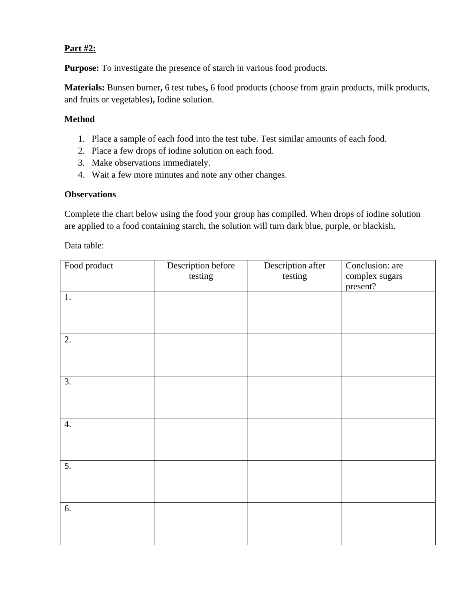## **Part #2:**

**Purpose:** To investigate the presence of starch in various food products.

**Materials:** Bunsen burner**,** 6 test tubes**,** 6 food products (choose from grain products, milk products, and fruits or vegetables)**,** Iodine solution.

## **Method**

- 1. Place a sample of each food into the test tube. Test similar amounts of each food.
- 2. Place a few drops of iodine solution on each food.
- 3. Make observations immediately.
- 4. Wait a few more minutes and note any other changes.

### **Observations**

Complete the chart below using the food your group has compiled. When drops of iodine solution are applied to a food containing starch, the solution will turn dark blue, purple, or blackish.

Data table:

| Food product     | Description before<br>testing | Description after<br>testing | Conclusion: are<br>complex sugars |
|------------------|-------------------------------|------------------------------|-----------------------------------|
|                  |                               |                              | present?                          |
| $1.$             |                               |                              |                                   |
|                  |                               |                              |                                   |
|                  |                               |                              |                                   |
| $\overline{2}$ . |                               |                              |                                   |
|                  |                               |                              |                                   |
|                  |                               |                              |                                   |
| $\overline{3}$ . |                               |                              |                                   |
|                  |                               |                              |                                   |
|                  |                               |                              |                                   |
| 4.               |                               |                              |                                   |
|                  |                               |                              |                                   |
|                  |                               |                              |                                   |
| 5.               |                               |                              |                                   |
|                  |                               |                              |                                   |
|                  |                               |                              |                                   |
|                  |                               |                              |                                   |
| 6.               |                               |                              |                                   |
|                  |                               |                              |                                   |
|                  |                               |                              |                                   |
|                  |                               |                              |                                   |